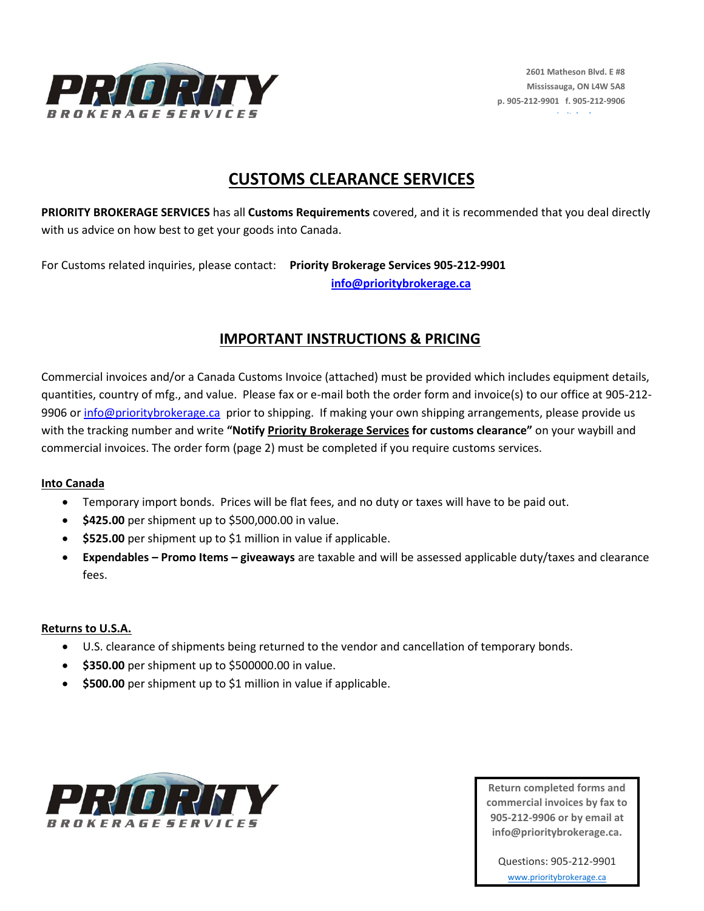

# **CUSTOMS CLEARANCE SERVICES**

**PRIORITY BROKERAGE SERVICES** has all **Customs Requirements** covered, and it is recommended that you deal directly with us advice on how best to get your goods into Canada.

For Customs related inquiries, please contact: **Priority Brokerage Services 905-212-9901 [info@prioritybrokerage.ca](mailto:clint@prioritybrokerage.ca)**

## **IMPORTANT INSTRUCTIONS & PRICING**

Commercial invoices and/or a Canada Customs Invoice (attached) must be provided which includes equipment details, quantities, country of mfg., and value. Please fax or e-mail both the order form and invoice(s) to our office at 905-212 9906 or [info@prioritybrokerage.ca](mailto:clint@prioritybrokerage.ca) prior to shipping. If making your own shipping arrangements, please provide us with the tracking number and write **"Notify Priority Brokerage Services for customs clearance"** on your waybill and commercial invoices. The order form (page 2) must be completed if you require customs services.

### **Into Canada**

- Temporary import bonds. Prices will be flat fees, and no duty or taxes will have to be paid out.
- **\$425.00** per shipment up to \$500,000.00 in value.
- **\$525.00** per shipment up to \$1 million in value if applicable.
- **Expendables – Promo Items – giveaways** are taxable and will be assessed applicable duty/taxes and clearance fees.

### **Returns to U.S.A.**

- U.S. clearance of shipments being returned to the vendor and cancellation of temporary bonds.
- **\$350.00** per shipment up to \$500000.00 in value.
- **\$500.00** per shipment up to \$1 million in value if applicable.



**Return completed forms and commercial invoices by fax to 905-212-9906 or by email at info@prioritybrokerage.ca.**

Questions: 905-212-9901 [www.prioritybrokerage.ca](http://www.prioritybrokerage.ca/)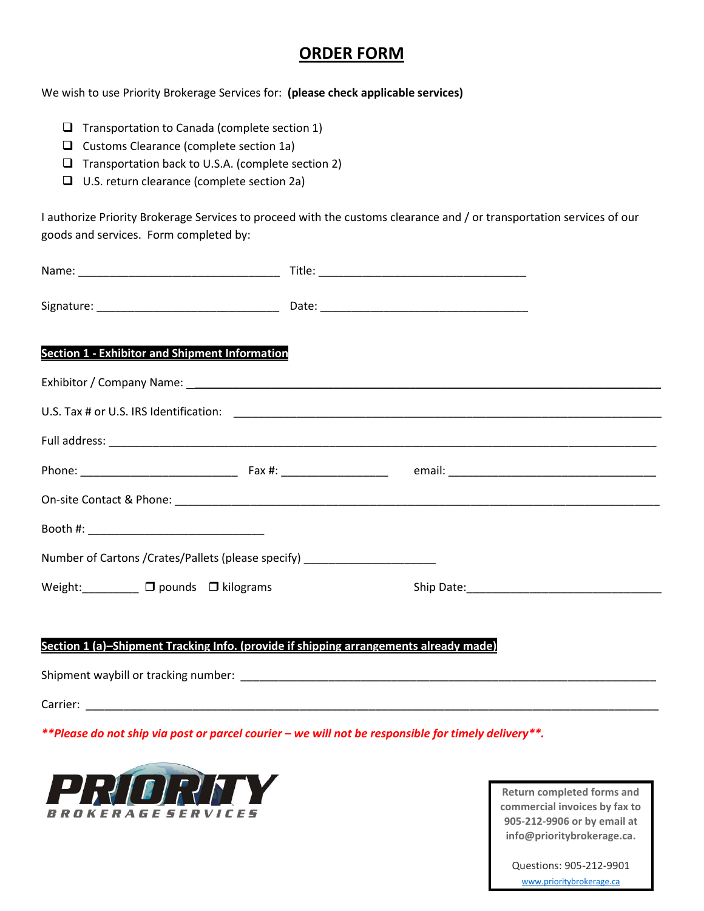## **ORDER FORM**

We wish to use Priority Brokerage Services for: **(please check applicable services)**

- $\Box$  Transportation to Canada (complete section 1)
- $\Box$  Customs Clearance (complete section 1a)
- $\Box$  Transportation back to U.S.A. (complete section 2)
- □ U.S. return clearance (complete section 2a)

I authorize Priority Brokerage Services to proceed with the customs clearance and / or transportation services of our goods and services. Form completed by:

| <b>Section 1 - Exhibitor and Shipment Information</b>                            |  |
|----------------------------------------------------------------------------------|--|
|                                                                                  |  |
|                                                                                  |  |
|                                                                                  |  |
|                                                                                  |  |
|                                                                                  |  |
|                                                                                  |  |
| Number of Cartons / Crates/Pallets (please specify) ____________________________ |  |
| Weight: $\Box$ $\Box$ pounds $\Box$ kilograms                                    |  |
|                                                                                  |  |

## **Section 1 (a)–Shipment Tracking Info. (provide if shipping arrangements already made)**

Shipment waybill or tracking number: \_\_\_\_\_\_\_\_\_\_\_\_\_\_\_\_\_\_\_\_\_\_\_\_\_\_\_\_\_\_\_\_\_\_\_\_\_\_\_\_\_\_\_\_\_\_\_\_\_\_\_\_\_\_\_\_\_\_\_\_\_\_\_\_\_\_

Carrier: \_\_\_\_\_\_\_\_\_\_\_\_\_\_\_\_\_\_\_\_\_\_\_\_\_\_\_\_\_\_\_\_\_\_\_\_\_\_\_\_\_\_\_\_\_\_\_\_\_\_\_\_\_\_\_\_\_\_\_\_\_\_\_\_\_\_\_\_\_\_\_\_\_\_\_\_\_\_\_\_\_\_\_\_\_\_\_\_\_\_\_

*\*\*Please do not ship via post or parcel courier – we will not be responsible for timely delivery\*\*.*



**Return completed forms and commercial invoices by fax to 905-212-9906 or by email at info@prioritybrokerage.ca.**

Questions: 905-212-9901 [www.prioritybrokerage.ca](http://www.prioritybrokerage.ca/)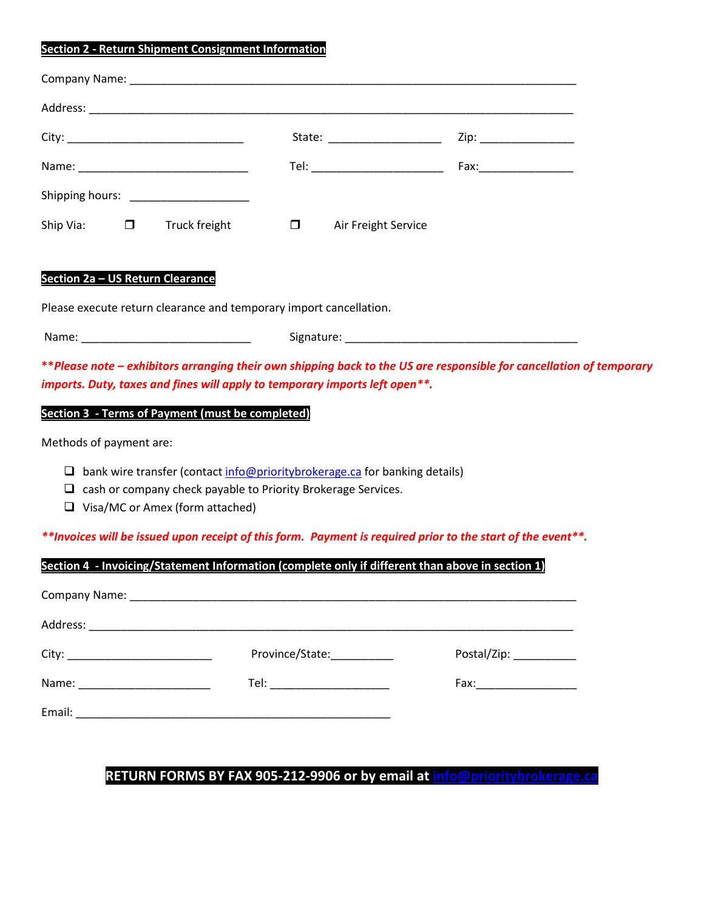### **Section 2 - Return Shipment Consignment Information**

|                  |               |        | State: _____________________ | Zip: ________________ |  |
|------------------|---------------|--------|------------------------------|-----------------------|--|
|                  |               |        |                              |                       |  |
|                  |               |        |                              |                       |  |
| Ship Via: $\Box$ | Truck freight | $\Box$ | Air Freight Service          |                       |  |

#### **Section 2a – US Return Clearance**

Please execute return clearance and temporary import cancellation.

Name: \_\_\_\_\_\_\_\_\_\_\_\_\_\_\_\_\_\_\_\_\_\_\_\_\_\_\_ Signature: \_\_\_\_\_\_\_\_\_\_\_\_\_\_\_\_\_\_\_\_\_\_\_\_\_\_\_\_\_\_\_\_\_\_\_\_\_

**\*\****Please note – exhibitors arranging their own shipping back to the US are responsible for cancellation of temporary imports. Duty, taxes and fines will apply to temporary imports left open\*\*.*

### **Section 3 - Terms of Payment (must be completed)**

Methods of payment are:

- $\Box$  bank wire transfer (contact  $\frac{info@prioritybroken}{def}$ .ca for banking details)
- $\Box$  cash or company check payable to Priority Brokerage Services.
- □ Visa/MC or Amex (form attached)

*\*\*Invoices will be issued upon receipt of this form. Payment is required prior to the start of the event\*\*.*

|                                  | Section 4 - Invoicing/Statement Information (complete only if different than above in section 1) |                         |
|----------------------------------|--------------------------------------------------------------------------------------------------|-------------------------|
|                                  |                                                                                                  |                         |
|                                  |                                                                                                  |                         |
|                                  | Province/State:                                                                                  | Postal/Zip: ___________ |
| Name: __________________________ | Tel: ________________________                                                                    |                         |
|                                  |                                                                                                  |                         |

## **RETURN FORMS BY FAX 905-212-9906 or by email at [info@prioritybrokerage.ca](mailto:info@prioritybrokerage.ca)**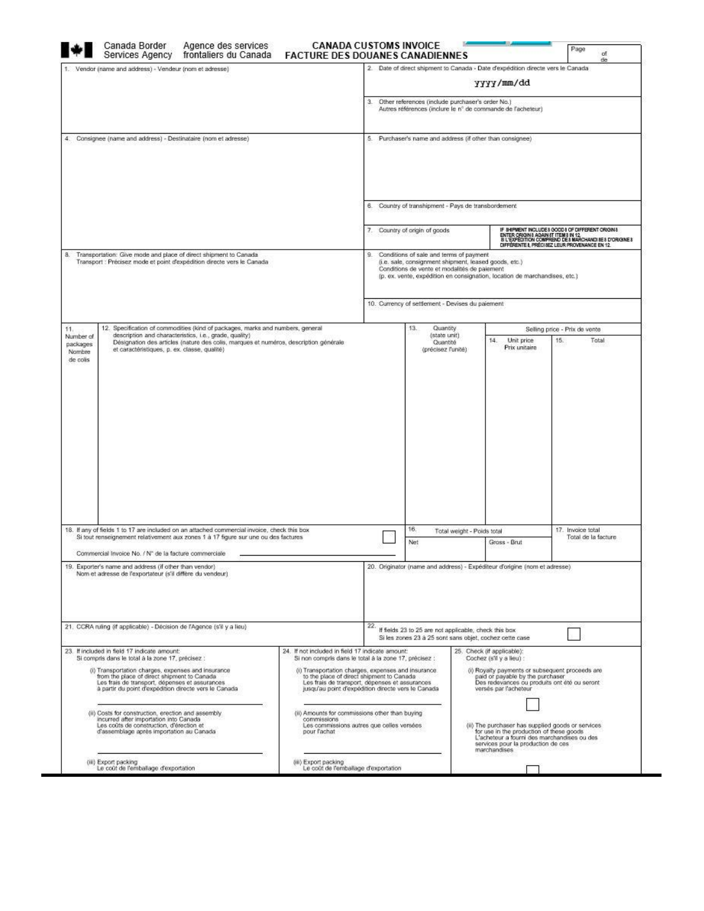| Canada Border<br>Agence des services<br>Services Agency frontaliers du Canada                                                                                                                                                                                                                                                                                                                                                                                            | <b>CANADA CUSTOMS INVOICE</b><br><b>FACTURE DES DOUANES CANADIENNES</b>                                                                                                                                  |                                                                                   |                                                                                                                                                  |                            |                                                                                                                                                                                                    | Page<br>of<br>de                                                                                                                            |
|--------------------------------------------------------------------------------------------------------------------------------------------------------------------------------------------------------------------------------------------------------------------------------------------------------------------------------------------------------------------------------------------------------------------------------------------------------------------------|----------------------------------------------------------------------------------------------------------------------------------------------------------------------------------------------------------|-----------------------------------------------------------------------------------|--------------------------------------------------------------------------------------------------------------------------------------------------|----------------------------|----------------------------------------------------------------------------------------------------------------------------------------------------------------------------------------------------|---------------------------------------------------------------------------------------------------------------------------------------------|
| 1. Vendor (name and address) - Vendeur (nom et adresse)                                                                                                                                                                                                                                                                                                                                                                                                                  |                                                                                                                                                                                                          |                                                                                   |                                                                                                                                                  |                            | 2. Date of direct shipment to Canada - Date d'expédition directe vers le Canada                                                                                                                    |                                                                                                                                             |
|                                                                                                                                                                                                                                                                                                                                                                                                                                                                          |                                                                                                                                                                                                          |                                                                                   |                                                                                                                                                  |                            | yyyy/mm/dd                                                                                                                                                                                         |                                                                                                                                             |
|                                                                                                                                                                                                                                                                                                                                                                                                                                                                          |                                                                                                                                                                                                          | з.                                                                                | Other references (include purchaser's order No.)                                                                                                 |                            | Autres références (inclure le n° de commande de l'acheteur)                                                                                                                                        |                                                                                                                                             |
| 4. Consignee (name and address) - Destinataire (nom et adresse)                                                                                                                                                                                                                                                                                                                                                                                                          |                                                                                                                                                                                                          |                                                                                   | 5. Purchaser's name and address (if other than consignee)                                                                                        |                            |                                                                                                                                                                                                    |                                                                                                                                             |
|                                                                                                                                                                                                                                                                                                                                                                                                                                                                          |                                                                                                                                                                                                          |                                                                                   |                                                                                                                                                  |                            |                                                                                                                                                                                                    |                                                                                                                                             |
|                                                                                                                                                                                                                                                                                                                                                                                                                                                                          |                                                                                                                                                                                                          | 6. Country of transhipment - Pays de transbordement<br>Country of origin of goods |                                                                                                                                                  |                            | IF SHIPMENT INCLUDES GOODS OF DIFFERENT ORIGINS                                                                                                                                                    |                                                                                                                                             |
|                                                                                                                                                                                                                                                                                                                                                                                                                                                                          |                                                                                                                                                                                                          |                                                                                   |                                                                                                                                                  |                            |                                                                                                                                                                                                    | ENTER ORIGINS AGAINST ITEMS IN 12.<br>81 L'EXPÉDITION COMPREND DES MARCHANDISES D'ORIGINES<br>DIFFÉRENTE I, PRÉCISEZ LEUR PROVENANCE EN 12. |
| Transportation: Give mode and place of direct shipment to Canada<br>8.<br>Transport : Précisez mode et point d'expédition directe vers le Canada                                                                                                                                                                                                                                                                                                                         |                                                                                                                                                                                                          | 9.                                                                                | Conditions of sale and terms of payment<br>(i.e. sale, consignment shipment, leased goods, etc.)<br>Conditions de vente et modalités de paiement |                            | (p. ex. vente, expédition en consignation, location de marchandises, etc.)                                                                                                                         |                                                                                                                                             |
|                                                                                                                                                                                                                                                                                                                                                                                                                                                                          |                                                                                                                                                                                                          |                                                                                   | 10. Currency of settlement - Devises du paiement                                                                                                 |                            |                                                                                                                                                                                                    |                                                                                                                                             |
| 12. Specification of commodities (kind of packages, marks and numbers, general<br>11.                                                                                                                                                                                                                                                                                                                                                                                    |                                                                                                                                                                                                          |                                                                                   | 13.<br>Quantity                                                                                                                                  |                            |                                                                                                                                                                                                    | Selling price - Prix de vente                                                                                                               |
| description and characteristics, i.e., grade, quality)<br>Number of<br>Désignation des articles (nature des colis, marques et numéros, description générale<br>packages<br>et caractéristiques, p. ex. classe, qualité)                                                                                                                                                                                                                                                  |                                                                                                                                                                                                          |                                                                                   | (state unit)<br>Quantité<br>(précisez l'unité)                                                                                                   |                            | Unit price<br>14.<br>Prix unitaire                                                                                                                                                                 | 15.<br>Total                                                                                                                                |
|                                                                                                                                                                                                                                                                                                                                                                                                                                                                          |                                                                                                                                                                                                          |                                                                                   |                                                                                                                                                  |                            |                                                                                                                                                                                                    |                                                                                                                                             |
|                                                                                                                                                                                                                                                                                                                                                                                                                                                                          |                                                                                                                                                                                                          |                                                                                   |                                                                                                                                                  |                            |                                                                                                                                                                                                    |                                                                                                                                             |
|                                                                                                                                                                                                                                                                                                                                                                                                                                                                          |                                                                                                                                                                                                          |                                                                                   | 16.                                                                                                                                              |                            |                                                                                                                                                                                                    | 17. Invoice total                                                                                                                           |
| Si tout renseignement relativement aux zones 1 à 17 figure sur une ou des factures                                                                                                                                                                                                                                                                                                                                                                                       |                                                                                                                                                                                                          |                                                                                   | Net                                                                                                                                              | Total weight - Poids total | Grass - Brut                                                                                                                                                                                       | Total de la facture                                                                                                                         |
| Commercial Invoice No. / N° de la facture commerciale                                                                                                                                                                                                                                                                                                                                                                                                                    |                                                                                                                                                                                                          |                                                                                   |                                                                                                                                                  |                            |                                                                                                                                                                                                    |                                                                                                                                             |
| Nom et adresse de l'exportateur (s'il diffère du vendeur)                                                                                                                                                                                                                                                                                                                                                                                                                |                                                                                                                                                                                                          |                                                                                   |                                                                                                                                                  |                            | 20. Originator (name and address) - Expéditeur d'origine (nom et adresse)                                                                                                                          |                                                                                                                                             |
|                                                                                                                                                                                                                                                                                                                                                                                                                                                                          |                                                                                                                                                                                                          | 22.                                                                               | If fields 23 to 25 are not applicable, check this box<br>Si les zones 23 à 25 sont sans objet, cochez cette case                                 |                            |                                                                                                                                                                                                    |                                                                                                                                             |
| Si compris dans le total à la zone 17, précisez :                                                                                                                                                                                                                                                                                                                                                                                                                        | 24. If not included in field 17 indicate amount:<br>Si non compris dans le total à la zone 17, précisez :                                                                                                |                                                                                   |                                                                                                                                                  |                            | 25. Check (if applicable):<br>Cochez (s'il y a lieu) :                                                                                                                                             |                                                                                                                                             |
| (i) Transportation charges, expenses and insurance<br>from the place of direct shipment to Canada.<br>Les frais de transport, dépenses et assurances<br>à partir du point d'expédition directe vers le Canada                                                                                                                                                                                                                                                            | (i) Transportation charges, expenses and insurance.<br>to the place of direct shipment to Canada<br>Les frais de transport, dépenses et assurances<br>jusqu'au point d'expédition directe vers le Canada |                                                                                   |                                                                                                                                                  |                            | (i) Royalty payments or subsequent proceeds are<br>paid or payable by the purchaser<br>Des redevances ou produits ont été ou seront<br>versés par l'acheteur                                       |                                                                                                                                             |
| 18. If any of fields 1 to 17 are included on an attached commercial invoice, check this box<br>19. Exporter's name and address (if other than vendor).<br>21. CCRA ruling (if applicable) - Décision de l'Agence (s'il y a lieu)<br>23. If included in field 17 indicate amount:<br>(ii) Costs for construction, erection and assembly<br>incurred after importation into Canada<br>Les coûts de construction, d'érection et<br>d'assemblage après importation au Canada | (ii) Amounts for commissions other than buying<br>commissions<br>Les commissions autres que celles versées<br>pour l'achat                                                                               |                                                                                   |                                                                                                                                                  |                            | (ii) The purchaser has supplied goods or services<br>for use in the production of these goods<br>L'acheteur a fourni des marchandises ou des<br>services pour la production de ces<br>marchandises |                                                                                                                                             |